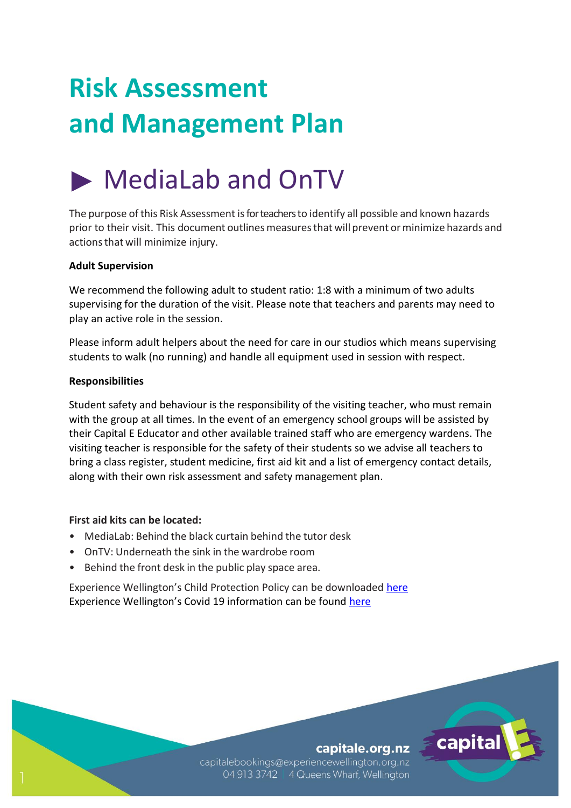# **Risk Assessment and Management Plan**

## MediaLab and OnTV

The purpose of this Risk Assessment is for teachers to identify all possible and known hazards prior to their visit. This document outlinesmeasuresthat will prevent orminimize hazards and actionsthat will minimize injury.

#### **Adult Supervision**

We recommend the following adult to student ratio: 1:8 with a minimum of two adults supervising for the duration of the visit. Please note that teachers and parents may need to play an active role in the session.

Please inform adult helpers about the need for care in our studios which means supervising students to walk (no running) and handle all equipment used in session with respect.

#### **Responsibilities**

Student safety and behaviour is the responsibility of the visiting teacher, who must remain with the group at all times. In the event of an emergency school groups will be assisted by their Capital E Educator and other available trained staff who are emergency wardens. The visiting teacher is responsible for the safety of their students so we advise all teachers to bring a class register, student medicine, first aid kit and a list of emergency contact details, along with their own risk assessment and safety management plan.

#### **First aid kits can be located:**

- MediaLab: Behind the black curtain behind the tutor desk
- OnTV: Underneath the sink in the wardrobe room
- Behind the front desk in the public play space area.

Experience Wellington's Child Protection Policy can be downloaded [here](http://experiencewellington.org.nz/wp-content/uploads/2017/08/170808_ExperienceWellington_ChildProtectionPolicy.pdf) Experience Wellington's Covid 19 information can be found [here](http://experiencewellington.org.nz/experience-wellington-covid-19-faqs/)

#### capitale.org.nz

capital

capitalebookings@experiencewellington.org.nz 04 913 3742 | 4 Queens Wharf, Wellington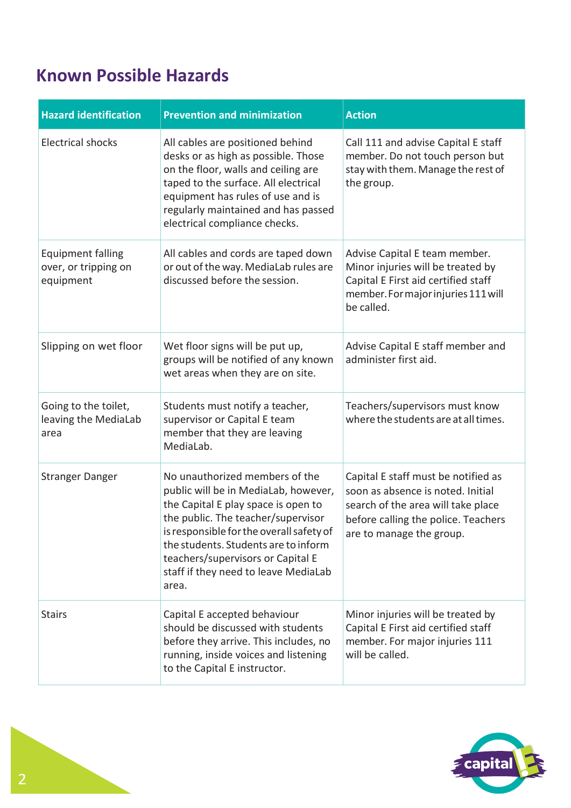### **Known Possible Hazards**

| <b>Hazard identification</b>                                  | <b>Prevention and minimization</b>                                                                                                                                                                                                                                                                                            | <b>Action</b>                                                                                                                                                                     |
|---------------------------------------------------------------|-------------------------------------------------------------------------------------------------------------------------------------------------------------------------------------------------------------------------------------------------------------------------------------------------------------------------------|-----------------------------------------------------------------------------------------------------------------------------------------------------------------------------------|
| <b>Electrical shocks</b>                                      | All cables are positioned behind<br>desks or as high as possible. Those<br>on the floor, walls and ceiling are<br>taped to the surface. All electrical<br>equipment has rules of use and is<br>regularly maintained and has passed<br>electrical compliance checks.                                                           | Call 111 and advise Capital E staff<br>member. Do not touch person but<br>stay with them. Manage the rest of<br>the group.                                                        |
| <b>Equipment falling</b><br>over, or tripping on<br>equipment | All cables and cords are taped down<br>or out of the way. MediaLab rules are<br>discussed before the session.                                                                                                                                                                                                                 | Advise Capital E team member.<br>Minor injuries will be treated by<br>Capital E First aid certified staff<br>member. For major injuries 111 will<br>be called.                    |
| Slipping on wet floor                                         | Wet floor signs will be put up,<br>groups will be notified of any known<br>wet areas when they are on site.                                                                                                                                                                                                                   | Advise Capital E staff member and<br>administer first aid.                                                                                                                        |
| Going to the toilet,<br>leaving the MediaLab<br>area          | Students must notify a teacher,<br>supervisor or Capital E team<br>member that they are leaving<br>MediaLab.                                                                                                                                                                                                                  | Teachers/supervisors must know<br>where the students are at all times.                                                                                                            |
| <b>Stranger Danger</b>                                        | No unauthorized members of the<br>public will be in MediaLab, however,<br>the Capital E play space is open to<br>the public. The teacher/supervisor<br>is responsible for the overall safety of<br>the students. Students are to inform<br>teachers/supervisors or Capital E<br>staff if they need to leave MediaLab<br>area. | Capital E staff must be notified as<br>soon as absence is noted. Initial<br>search of the area will take place<br>before calling the police. Teachers<br>are to manage the group. |
| <b>Stairs</b>                                                 | Capital E accepted behaviour<br>should be discussed with students<br>before they arrive. This includes, no<br>running, inside voices and listening<br>to the Capital E instructor.                                                                                                                                            | Minor injuries will be treated by<br>Capital E First aid certified staff<br>member. For major injuries 111<br>will be called.                                                     |

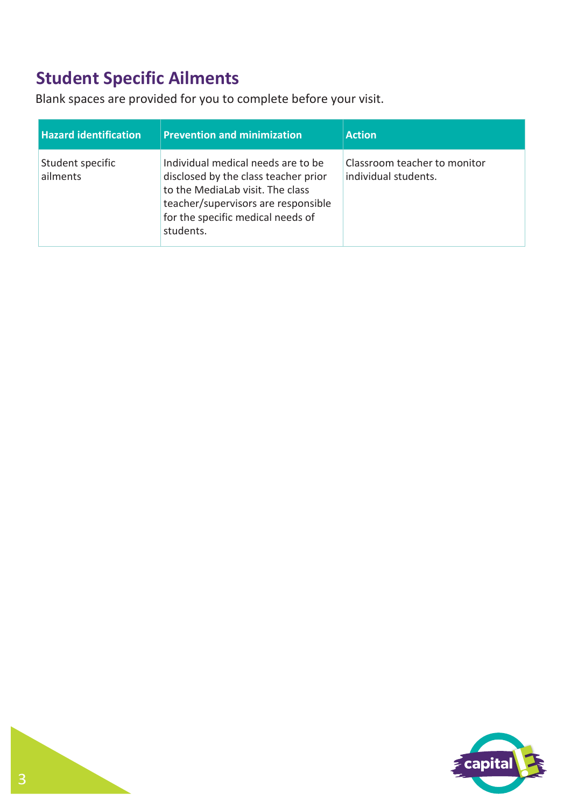### **Student Specific Ailments**

Blank spaces are provided for you to complete before your visit.

| <b>Hazard identification</b> | <b>Prevention and minimization</b>                                                                                                                                                                      | <b>Action</b>                                        |
|------------------------------|---------------------------------------------------------------------------------------------------------------------------------------------------------------------------------------------------------|------------------------------------------------------|
| Student specific<br>ailments | Individual medical needs are to be<br>disclosed by the class teacher prior<br>to the MediaLab visit. The class<br>teacher/supervisors are responsible<br>for the specific medical needs of<br>students. | Classroom teacher to monitor<br>individual students. |

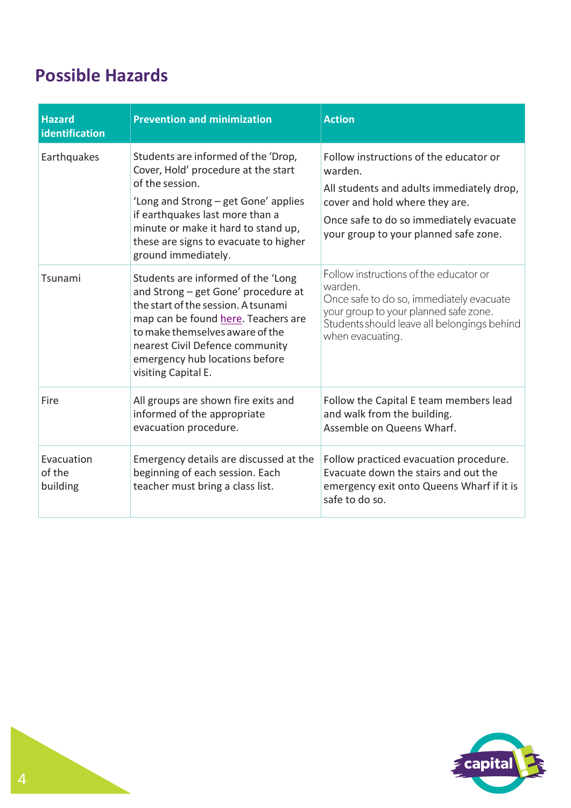### **Possible Hazards**

| <b>Hazard</b><br>identification  | <b>Prevention and minimization</b>                                                                                                                                                                                                                                                     | <b>Action</b>                                                                                                                                                                                                        |
|----------------------------------|----------------------------------------------------------------------------------------------------------------------------------------------------------------------------------------------------------------------------------------------------------------------------------------|----------------------------------------------------------------------------------------------------------------------------------------------------------------------------------------------------------------------|
| Earthquakes                      | Students are informed of the 'Drop,<br>Cover, Hold' procedure at the start<br>of the session.<br>'Long and Strong – get Gone' applies<br>if earthquakes last more than a<br>minute or make it hard to stand up,<br>these are signs to evacuate to higher<br>ground immediately.        | Follow instructions of the educator or<br>warden.<br>All students and adults immediately drop,<br>cover and hold where they are.<br>Once safe to do so immediately evacuate<br>your group to your planned safe zone. |
| Tsunami                          | Students are informed of the 'Long<br>and Strong - get Gone' procedure at<br>the start of the session. A tsunami<br>map can be found here. Teachers are<br>to make themselves aware of the<br>nearest Civil Defence community<br>emergency hub locations before<br>visiting Capital E. | Follow instructions of the educator or<br>warden.<br>Once safe to do so, immediately evacuate<br>your group to your planned safe zone.<br>Students should leave all belongings behind<br>when evacuating.            |
| Fire                             | All groups are shown fire exits and<br>informed of the appropriate<br>evacuation procedure.                                                                                                                                                                                            | Follow the Capital E team members lead<br>and walk from the building.<br>Assemble on Queens Wharf.                                                                                                                   |
| Evacuation<br>of the<br>building | Emergency details are discussed at the<br>beginning of each session. Each<br>teacher must bring a class list.                                                                                                                                                                          | Follow practiced evacuation procedure.<br>Evacuate down the stairs and out the<br>emergency exit onto Queens Wharf if it is<br>safe to do so.                                                                        |

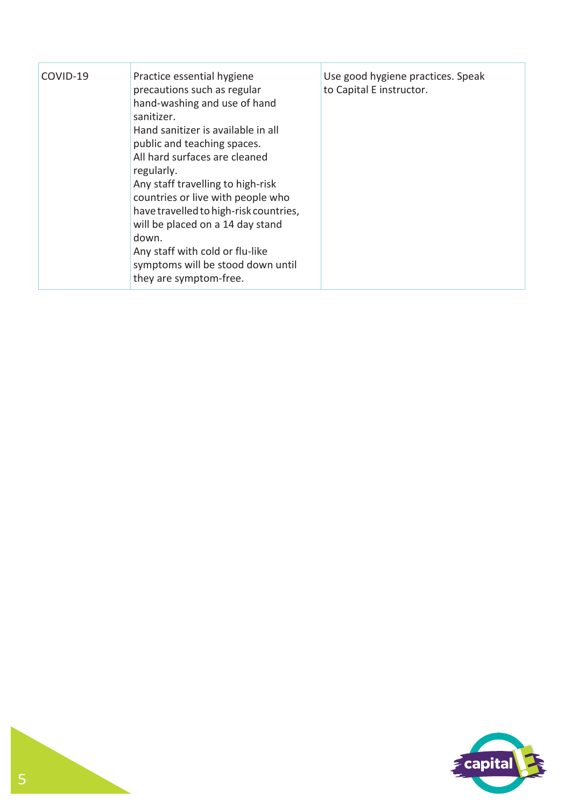| COVID-19 | Practice essential hygiene<br>precautions such as regular<br>hand-washing and use of hand<br>sanitizer.<br>Hand sanitizer is available in all<br>public and teaching spaces.<br>All hard surfaces are cleaned<br>regularly.<br>Any staff travelling to high-risk<br>countries or live with people who<br>have travelled to high-risk countries,<br>will be placed on a 14 day stand<br>down.<br>Any staff with cold or flu-like<br>symptoms will be stood down until<br>they are symptom-free. | Use good hygiene practices. Speak<br>to Capital E instructor. |
|----------|------------------------------------------------------------------------------------------------------------------------------------------------------------------------------------------------------------------------------------------------------------------------------------------------------------------------------------------------------------------------------------------------------------------------------------------------------------------------------------------------|---------------------------------------------------------------|
|----------|------------------------------------------------------------------------------------------------------------------------------------------------------------------------------------------------------------------------------------------------------------------------------------------------------------------------------------------------------------------------------------------------------------------------------------------------------------------------------------------------|---------------------------------------------------------------|